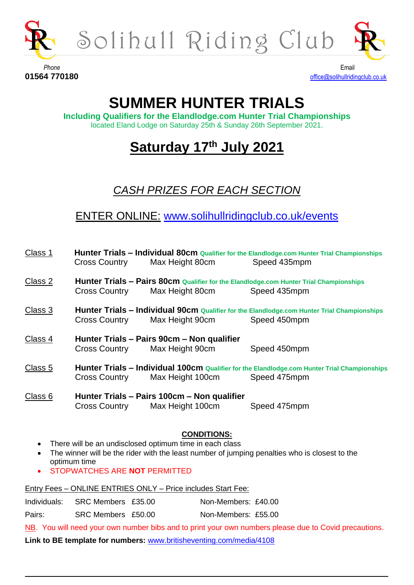



**Phone** Email

**01564 770180** [office@solihullridingclub.co.uk](mailto:office@solihullridingclub.co.uk)

## **SUMMER HUNTER TRIALS**

**Including Qualifiers for the Elandlodge.com Hunter Trial Championships** located Eland Lodge on Saturday 25th & Sunday 26th September 2021.

## **Saturday 17th July 2021**

### *CASH PRIZES FOR EACH SECTION*

ENTER ONLINE: [www.solihullridingclub.co.uk/events](http://www.solihullridingclub.co.uk/events)

| Class 1                | Hunter Trials - Individual 80cm Qualifier for the Elandlodge.com Hunter Trial Championships<br>Max Height 80cm<br><b>Cross Country</b><br>Speed 435mpm |                                                                               |                                                                                                              |
|------------------------|--------------------------------------------------------------------------------------------------------------------------------------------------------|-------------------------------------------------------------------------------|--------------------------------------------------------------------------------------------------------------|
| Class 2                | <b>Cross Country</b>                                                                                                                                   | Max Height 80cm                                                               | Hunter Trials - Pairs 80cm Qualifier for the Elandlodge.com Hunter Trial Championships<br>Speed 435mpm       |
| Class 3                | <b>Cross Country</b>                                                                                                                                   | Max Height 90cm                                                               | Hunter Trials - Individual 90cm Qualifier for the Elandlodge.com Hunter Trial Championships<br>Speed 450mpm  |
| Class <sub>4</sub>     | <b>Cross Country</b>                                                                                                                                   | Hunter Trials - Pairs 90cm - Non qualifier<br>Max Height 90cm                 | Speed 450mpm                                                                                                 |
| Class 5                | <b>Cross Country</b>                                                                                                                                   | Max Height 100cm                                                              | Hunter Trials - Individual 100cm Qualifier for the Elandlodge.com Hunter Trial Championships<br>Speed 475mpm |
| Class 6                | <b>Cross Country</b>                                                                                                                                   | Hunter Trials - Pairs 100cm - Non qualifier<br>Max Height 100cm               | Speed 475mpm                                                                                                 |
| $\bullet$<br>$\bullet$ | optimum time<br>STOPWATCHES ARE NOT PERMITTED                                                                                                          | <b>CONDITIONS:</b><br>There will be an undisclosed optimum time in each class | The winner will be the rider with the least number of jumping penalties who is closest to the                |
|                        |                                                                                                                                                        | Entry Fees - ONLINE ENTRIES ONLY - Price includes Start Fee:                  |                                                                                                              |

| Individuals: | SRC Members £35.00 | Non-Members: £40.00 |
|--------------|--------------------|---------------------|
| Pairs:       | SRC Members £50.00 | Non-Members: £55.00 |

NB. You will need your own number bibs and to print your own numbers please due to Covid precautions.

**Link to BE template for numbers:** [www.britisheventing.com/media/4108](http://www.britisheventing.com/media/4108)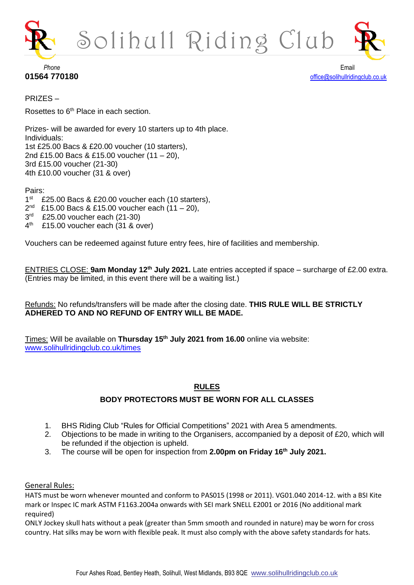



## **Phone** Email

**01564 770180** [office@solihullridingclub.co.uk](mailto:office@solihullridingclub.co.uk)

PRIZES –

Rosettes to 6<sup>th</sup> Place in each section.

Prizes- will be awarded for every 10 starters up to 4th place. Individuals: 1st £25.00 Bacs & £20.00 voucher (10 starters), 2nd £15.00 Bacs & £15.00 voucher (11 – 20), 3rd £15.00 voucher (21-30) 4th £10.00 voucher (31 & over)

Pairs:

- 1 st £25.00 Bacs & £20.00 voucher each (10 starters),
- 2 nd £15.00 Bacs & £15.00 voucher each (11 – 20),
- 3 rd £25.00 voucher each (21-30)
- $4<sup>th</sup>$ £15.00 voucher each (31 & over)

Vouchers can be redeemed against future entry fees, hire of facilities and membership.

ENTRIES CLOSE: **9am Monday 12th July 2021.** Late entries accepted if space – surcharge of £2.00 extra. (Entries may be limited, in this event there will be a waiting list.)

Refunds: No refunds/transfers will be made after the closing date. **THIS RULE WILL BE STRICTLY ADHERED TO AND NO REFUND OF ENTRY WILL BE MADE.**

Times: Will be available on **Thursday 15th July 2021 from 16.00** online via website: [www.solihullridingclub.co.uk/times](http://www.solihullridingclub.co.uk/times)

#### **RULES**

#### **BODY PROTECTORS MUST BE WORN FOR ALL CLASSES**

- 1. BHS Riding Club "Rules for Official Competitions" 2021 with Area 5 amendments.
- 2. Objections to be made in writing to the Organisers, accompanied by a deposit of £20, which will be refunded if the objection is upheld.
- 3. The course will be open for inspection from **2.00pm on Friday 16th July 2021.**

#### General Rules:

HATS must be worn whenever mounted and conform to PAS015 (1998 or 2011). VG01.040 2014-12. with a BSI Kite mark or Inspec IC mark ASTM F1163.2004a onwards with SEI mark SNELL E2001 or 2016 (No additional mark required)

ONLY Jockey skull hats without a peak (greater than 5mm smooth and rounded in nature) may be worn for cross country. Hat silks may be worn with flexible peak. It must also comply with the above safety standards for hats.